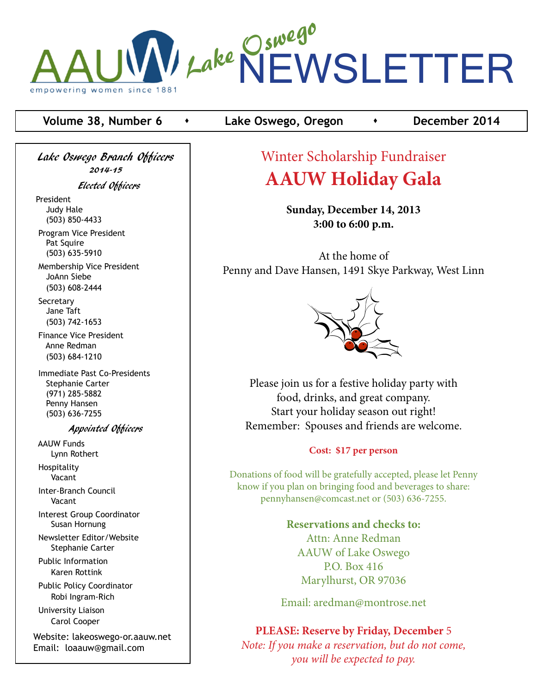

### **Volume 38, Number 6 c c Lake Oswego, Oregon c c c December 2014**

Lake Oswego Branch Officers 2014-15

Elected Officers

President Judy Hale (503) 850-4433

 Program Vice President Pat Squire (503) 635-5910

 Membership Vice President JoAnn Siebe (503) 608-2444

**Secretary**  Jane Taft (503) 742-1653

 Finance Vice President Anne Redman (503) 684-1210

 Immediate Past Co-Presidents Stephanie Carter (971) 285-5882 Penny Hansen (503) 636-7255

#### Appointed Officers

 AAUW Funds Lynn Rothert Hospitality

Vacant

 Inter-Branch Council Vacant

 Interest Group Coordinator Susan Hornung

 Newsletter Editor/Website Stephanie Carter

 Public Information Karen Rottink

 Public Policy Coordinator Robi Ingram-Rich

 University Liaison Carol Cooper

Website: lakeoswego-or.aauw.net Email: loaauw@gmail.com

# Winter Scholarship Fundraiser **AAUW Holiday Gala**

**Sunday, December 14, 2013 3:00 to 6:00 p.m.**

At the home of Penny and Dave Hansen, 1491 Skye Parkway, West Linn



Please join us for a festive holiday party with food, drinks, and great company. Start your holiday season out right! Remember: Spouses and friends are welcome.

#### **Cost: \$17 per person**

Donations of food will be gratefully accepted, please let Penny know if you plan on bringing food and beverages to share: pennyhansen@comcast.net or (503) 636-7255.

> **Reservations and checks to:** Attn: Anne Redman AAUW of Lake Oswego P.O. Box 416 Marylhurst, OR 97036

Email: aredman@montrose.net

**PLEASE: Reserve by Friday, December** 5 *Note: If you make a reservation, but do not come, you will be expected to pay.*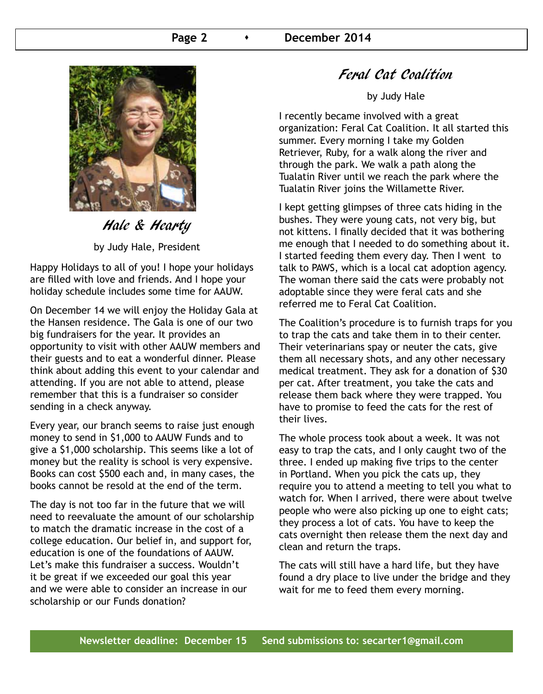

Hale & Hearty

by Judy Hale, President

Happy Holidays to all of you! I hope your holidays are filled with love and friends. And I hope your holiday schedule includes some time for AAUW.

On December 14 we will enjoy the Holiday Gala at the Hansen residence. The Gala is one of our two big fundraisers for the year. It provides an opportunity to visit with other AAUW members and their guests and to eat a wonderful dinner. Please think about adding this event to your calendar and attending. If you are not able to attend, please remember that this is a fundraiser so consider sending in a check anyway.

Every year, our branch seems to raise just enough money to send in \$1,000 to AAUW Funds and to give a \$1,000 scholarship. This seems like a lot of money but the reality is school is very expensive. Books can cost \$500 each and, in many cases, the books cannot be resold at the end of the term.

The day is not too far in the future that we will need to reevaluate the amount of our scholarship to match the dramatic increase in the cost of a college education. Our belief in, and support for, education is one of the foundations of AAUW. Let's make this fundraiser a success. Wouldn't it be great if we exceeded our goal this year and we were able to consider an increase in our scholarship or our Funds donation?

## Feral Cat Coalition

by Judy Hale

I recently became involved with a great organization: Feral Cat Coalition. It all started this summer. Every morning I take my Golden Retriever, Ruby, for a walk along the river and through the park. We walk a path along the Tualatin River until we reach the park where the Tualatin River joins the Willamette River.

I kept getting glimpses of three cats hiding in the bushes. They were young cats, not very big, but not kittens. I finally decided that it was bothering me enough that I needed to do something about it. I started feeding them every day. Then I went to talk to PAWS, which is a local cat adoption agency. The woman there said the cats were probably not adoptable since they were feral cats and she referred me to Feral Cat Coalition.

The Coalition's procedure is to furnish traps for you to trap the cats and take them in to their center. Their veterinarians spay or neuter the cats, give them all necessary shots, and any other necessary medical treatment. They ask for a donation of \$30 per cat. After treatment, you take the cats and release them back where they were trapped. You have to promise to feed the cats for the rest of their lives.

The whole process took about a week. It was not easy to trap the cats, and I only caught two of the three. I ended up making five trips to the center in Portland. When you pick the cats up, they require you to attend a meeting to tell you what to watch for. When I arrived, there were about twelve people who were also picking up one to eight cats; they process a lot of cats. You have to keep the cats overnight then release them the next day and clean and return the traps.

The cats will still have a hard life, but they have found a dry place to live under the bridge and they wait for me to feed them every morning.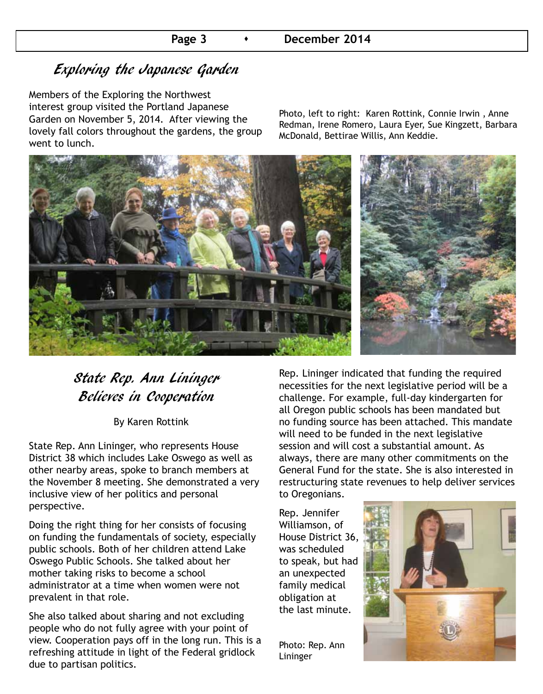# Exploring the Japanese Garden

Members of the Exploring the Northwest interest group visited the Portland Japanese Garden on November 5, 2014. After viewing the lovely fall colors throughout the gardens, the group went to lunch.

Photo, left to right: Karen Rottink, Connie Irwin , Anne Redman, Irene Romero, Laura Eyer, Sue Kingzett, Barbara McDonald, Bettirae Willis, Ann Keddie.



## State Rep. Ann Lininger Believes in Cooperation

By Karen Rottink

State Rep. Ann Lininger, who represents House District 38 which includes Lake Oswego as well as other nearby areas, spoke to branch members at the November 8 meeting. She demonstrated a very inclusive view of her politics and personal perspective.

Doing the right thing for her consists of focusing on funding the fundamentals of society, especially public schools. Both of her children attend Lake Oswego Public Schools. She talked about her mother taking risks to become a school administrator at a time when women were not prevalent in that role.

She also talked about sharing and not excluding people who do not fully agree with your point of view. Cooperation pays off in the long run. This is a refreshing attitude in light of the Federal gridlock due to partisan politics.

Rep. Lininger indicated that funding the required necessities for the next legislative period will be a challenge. For example, full-day kindergarten for all Oregon public schools has been mandated but no funding source has been attached. This mandate will need to be funded in the next legislative session and will cost a substantial amount. As always, there are many other commitments on the General Fund for the state. She is also interested in restructuring state revenues to help deliver services to Oregonians.

Rep. Jennifer Williamson, of House District 36, was scheduled to speak, but had an unexpected family medical obligation at the last minute.

Photo: Rep. Ann Lininger

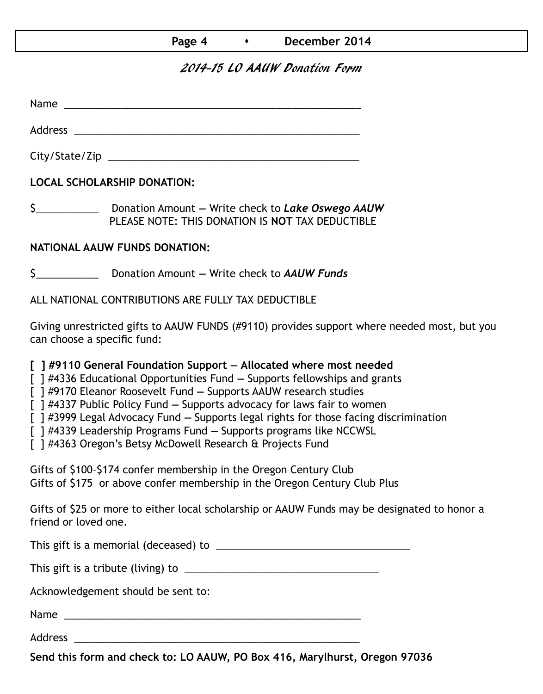## 2014-15 LO AAUW Donation Form

Name was also as a set of  $\sim$  10  $\mu$  m  $\sim$  10  $\mu$  m  $\sim$  10  $\mu$  m  $\sim$  10  $\mu$  m  $\sim$  10  $\mu$  m  $\sim$  10  $\mu$  m  $\sim$  10  $\mu$  m  $\sim$  10  $\mu$  m  $\sim$  10  $\mu$  m  $\sim$  10  $\mu$  m  $\sim$  10  $\mu$  m  $\sim$  10  $\mu$  m  $\sim$  10  $\mu$  m

Address \_\_\_\_\_\_\_\_\_\_\_\_\_\_\_\_\_\_\_\_\_\_\_\_\_\_\_\_\_\_\_\_\_\_\_\_\_\_\_\_\_\_\_\_\_\_\_\_\_\_

City/State/Zip \_\_\_\_\_\_\_\_\_\_\_\_\_\_\_\_\_\_\_\_\_\_\_\_\_\_\_\_\_\_\_\_\_\_\_\_\_\_\_\_\_\_\_\_

**LOCAL SCHOLARSHIP DONATION:**

\$\_\_\_\_\_\_\_\_\_\_\_ Donation Amount **—** Write check to *Lake Oswego AAUW* PLEASE NOTE: THIS DONATION IS **NOT** TAX DEDUCTIBLE

## **NATIONAL AAUW FUNDS DONATION:**

\$\_\_\_\_\_\_\_\_\_\_\_ Donation Amount **—** Write check to *AAUW Funds*

ALL NATIONAL CONTRIBUTIONS ARE FULLY TAX DEDUCTIBLE

Giving unrestricted gifts to AAUW FUNDS (#9110) provides support where needed most, but you can choose a specific fund:

**[ ] #9110 General Foundation Support — Allocated where most needed** 

[ ] #4336 Educational Opportunities Fund **—** Supports fellowships and grants

[ ] #9170 Eleanor Roosevelt Fund **—** Supports AAUW research studies

[ ] #4337 Public Policy Fund **—** Supports advocacy for laws fair to women

[ ] #3999 Legal Advocacy Fund **—** Supports legal rights for those facing discrimination

[ ] #4339 Leadership Programs Fund **—** Supports programs like NCCWSL

[ ] #4363 Oregon's Betsy McDowell Research & Projects Fund

Gifts of \$100–\$174 confer membership in the Oregon Century Club Gifts of \$175 or above confer membership in the Oregon Century Club Plus

Gifts of \$25 or more to either local scholarship or AAUW Funds may be designated to honor a friend or loved one.

This gift is a memorial (deceased) to \_\_\_\_\_\_\_\_\_\_\_\_\_\_\_\_\_\_\_\_\_\_\_\_\_\_\_\_\_\_\_\_\_\_

This gift is a tribute (living) to \_\_\_\_\_\_\_\_\_\_\_\_\_\_\_\_\_\_\_\_\_\_\_\_\_\_\_\_\_\_\_\_\_\_

Acknowledgement should be sent to:

Name \_\_\_\_\_\_\_\_\_\_\_\_\_\_\_\_\_\_\_\_\_\_\_\_\_\_\_\_\_\_\_\_\_\_\_\_\_\_\_\_\_\_\_\_\_\_\_\_\_\_\_\_

Address \_\_\_\_\_\_\_\_\_\_\_\_\_\_\_\_\_\_\_\_\_\_\_\_\_\_\_\_\_\_\_\_\_\_\_\_\_\_\_\_\_\_\_\_\_\_\_\_\_\_

**Send this form and check to: LO AAUW, PO Box 416, Marylhurst, Oregon 97036**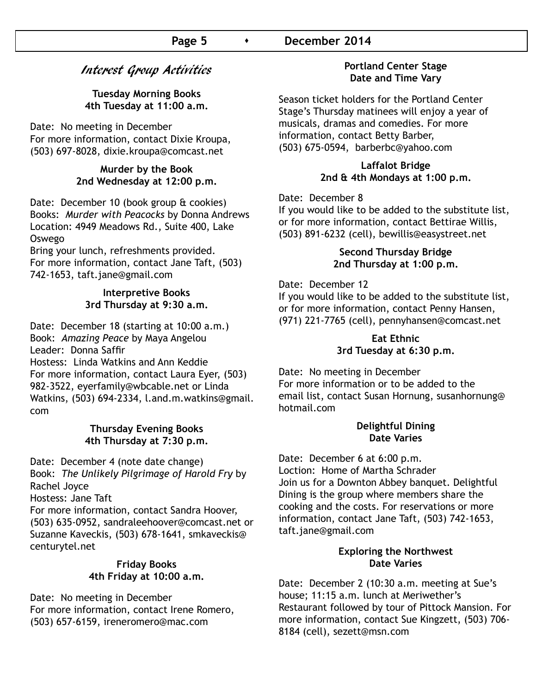## Interest Group Activities

#### **Tuesday Morning Books 4th Tuesday at 11:00 a.m.**

Date: No meeting in December For more information, contact Dixie Kroupa, (503) 697-8028, dixie.kroupa@comcast.net

#### **Murder by the Book 2nd Wednesday at 12:00 p.m.**

Date: December 10 (book group & cookies) Books: *Murder with Peacocks* by Donna Andrews Location: 4949 Meadows Rd., Suite 400, Lake Oswego

Bring your lunch, refreshments provided. For more information, contact Jane Taft, (503) 742-1653, taft.jane@gmail.com

#### **Interpretive Books 3rd Thursday at 9:30 a.m.**

Date: December 18 (starting at 10:00 a.m.) Book: *Amazing Peace* by Maya Angelou Leader: Donna Saffir Hostess: Linda Watkins and Ann Keddie For more information, contact Laura Eyer, (503) 982-3522, eyerfamily@wbcable.net or Linda Watkins, (503) 694-2334, l.and.m.watkins@gmail. com

#### **Thursday Evening Books 4th Thursday at 7:30 p.m.**

Date: December 4 (note date change) Book: *The Unlikely Pilgrimage of Harold Fry* by Rachel Joyce Hostess: Jane Taft For more information, contact Sandra Hoover, (503) 635-0952, sandraleehoover@comcast.net or

Suzanne Kaveckis, (503) 678-1641, smkaveckis@ centurytel.net

#### **Friday Books 4th Friday at 10:00 a.m.**

Date: No meeting in December For more information, contact Irene Romero, (503) 657-6159, ireneromero@mac.com

#### **Portland Center Stage Date and Time Vary**

Season ticket holders for the Portland Center Stage's Thursday matinees will enjoy a year of musicals, dramas and comedies. For more information, contact Betty Barber, (503) 675-0594, barberbc@yahoo.com

#### **Laffalot Bridge 2nd & 4th Mondays at 1:00 p.m.**

Date: December 8

If you would like to be added to the substitute list, or for more information, contact Bettirae Willis, (503) 891-6232 (cell), bewillis@easystreet.net

#### **Second Thursday Bridge 2nd Thursday at 1:00 p.m.**

#### Date: December 12

If you would like to be added to the substitute list, or for more information, contact Penny Hansen, (971) 221-7765 (cell), pennyhansen@comcast.net

## **Eat Ethnic 3rd Tuesday at 6:30 p.m.**

Date: No meeting in December For more information or to be added to the email list, contact Susan Hornung, susanhornung@ hotmail.com

#### **Delightful Dining Date Varies**

Date: December 6 at 6:00 p.m. Loction: Home of Martha Schrader Join us for a Downton Abbey banquet. Delightful Dining is the group where members share the cooking and the costs. For reservations or more information, contact Jane Taft, (503) 742-1653, taft.jane@gmail.com

#### **Exploring the Northwest Date Varies**

Date: December 2 (10:30 a.m. meeting at Sue's house; 11:15 a.m. lunch at Meriwether's Restaurant followed by tour of Pittock Mansion. For more information, contact Sue Kingzett, (503) 706- 8184 (cell), sezett@msn.com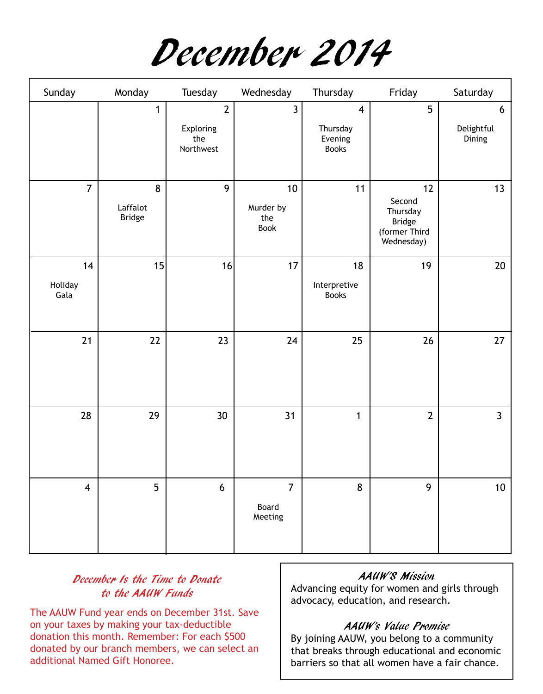December 2014

| Sunday                | Monday                         | Tuesday                                         | Wednesday                               | Thursday                                                       | Friday                                                            | Saturday                  |
|-----------------------|--------------------------------|-------------------------------------------------|-----------------------------------------|----------------------------------------------------------------|-------------------------------------------------------------------|---------------------------|
|                       | 1                              | $\overline{2}$<br>Exploring<br>the<br>Northwest | $\overline{3}$                          | $\overline{\mathbf{4}}$<br>Thursday<br>Evening<br><b>Books</b> | 5                                                                 | 6<br>Delightful<br>Dining |
| $\overline{7}$        | 8<br>Laffalot<br><b>Bridge</b> | 9                                               | $10$<br>Murder by<br>the<br><b>Book</b> | 11                                                             | 12<br>Second<br>Thursday<br>Bridge<br>(former Third<br>Wednesday) | 13                        |
| 14<br>Holiday<br>Gala | 15                             | 16                                              | 17                                      | 18<br>Interpretive<br><b>Books</b>                             | 19                                                                | 20                        |
| 21                    | 22                             | 23                                              | 24                                      | 25                                                             | 26                                                                | 27                        |
| 28                    | 29                             | 30 <sup>°</sup>                                 | 31                                      | $\mathbf{1}$                                                   | $\overline{2}$                                                    | $\overline{3}$            |
| $\overline{4}$        | 5                              | $6\,$                                           | $\overline{7}$<br>Board<br>Meeting      | 8                                                              | 9                                                                 | $10$                      |

## December Is the Time to Donate to the AAUW Funds

The AAUW Fund year ends on December 31st. Save on your taxes by making your tax-deductible donation this month. Remember: For each \$500 donated by our branch members, we can select an additional Named Gift Honoree.

#### AAUW'S Mission

Advancing equity for women and girls through advocacy, education, and research.

## AAUW's Value Promise

By joining AAUW, you belong to a community that breaks through educational and economic barriers so that all women have a fair chance.